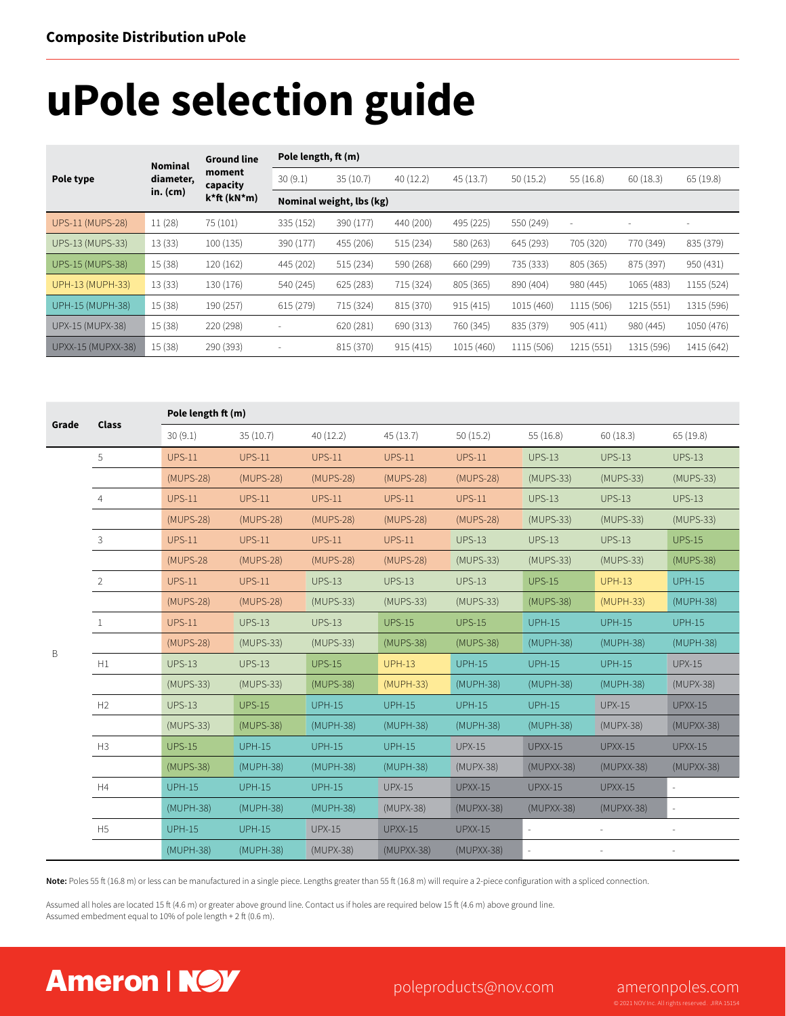# **uPole selection guide**

| Pole type                 | <b>Nominal</b><br>diameter, | <b>Ground line</b><br>moment<br>capacity | Pole length, ft (m)      |                          |           |            |            |                          |            |                          |  |  |
|---------------------------|-----------------------------|------------------------------------------|--------------------------|--------------------------|-----------|------------|------------|--------------------------|------------|--------------------------|--|--|
|                           |                             |                                          | 30(9.1)                  | 35(10.7)                 | 40(12.2)  | 45(13.7)   | 50(15.2)   | 55(16.8)                 | 60(18.3)   | 65(19.8)                 |  |  |
|                           | $in.$ (cm)                  | $k*ft(kN*m)$                             |                          | Nominal weight, lbs (kg) |           |            |            |                          |            |                          |  |  |
| <b>UPS-11 (MUPS-28)</b>   | 11(28)                      | 75 (101)                                 | 335 (152)                | 390 (177)                | 440 (200) | 495 (225)  | 550 (249)  | $\overline{\phantom{a}}$ |            | $\overline{\phantom{a}}$ |  |  |
| <b>UPS-13 (MUPS-33)</b>   | 13(33)                      | 100(135)                                 | 390 (177)                | 455 (206)                | 515 (234) | 580 (263)  | 645 (293)  | 705 (320)                | 770 (349)  | 835 (379)                |  |  |
| <b>UPS-15 (MUPS-38)</b>   | 15(38)                      | 120 (162)                                | 445 (202)                | 515(234)                 | 590 (268) | 660 (299)  | 735 (333)  | 805 (365)                | 875 (397)  | 950 (431)                |  |  |
| <b>UPH-13 (MUPH-33)</b>   | 13(33)                      | 130 (176)                                | 540 (245)                | 625(283)                 | 715 (324) | 805 (365)  | 890 (404)  | 980 (445)                | 1065 (483) | 1155 (524)               |  |  |
| UPH-15 (MUPH-38)          | 15(38)                      | 190 (257)                                | 615 (279)                | 715 (324)                | 815 (370) | 915(415)   | 1015 (460) | 1115 (506)               | 1215 (551) | 1315 (596)               |  |  |
| UPX-15 (MUPX-38)          | 15(38)                      | 220 (298)                                | ٠                        | 620 (281)                | 690 (313) | 760 (345)  | 835 (379)  | 905(411)                 | 980 (445)  | 1050 (476)               |  |  |
| <b>UPXX-15 (MUPXX-38)</b> | 15(38)                      | 290 (393)                                | $\overline{\phantom{a}}$ | 815 (370)                | 915(415)  | 1015 (460) | 1115 (506) | 1215 (551)               | 1315 (596) | 1415 (642)               |  |  |

| Grade | <b>Class</b>   | Pole length ft (m) |               |               |                |                |                     |                |                |  |
|-------|----------------|--------------------|---------------|---------------|----------------|----------------|---------------------|----------------|----------------|--|
|       |                | 30(9.1)            | 35(10.7)      | 40(12.2)      | 45(13.7)       | 50(15.2)       | 55(16.8)            | 60(18.3)       | 65(19.8)       |  |
|       | 5              | <b>UPS-11</b>      | <b>UPS-11</b> | <b>UPS-11</b> | <b>UPS-11</b>  | <b>UPS-11</b>  | <b>UPS-13</b>       | <b>UPS-13</b>  | <b>UPS-13</b>  |  |
|       |                | (MUPS-28)          | (MUPS-28)     | (MUPS-28)     | (MUPS-28)      | (MUPS-28)      | (MUPS-33)           | (MUPS-33)      | (MUPS-33)      |  |
|       | $\overline{4}$ | <b>UPS-11</b>      | <b>UPS-11</b> | <b>UPS-11</b> | $UPS-11$       | <b>UPS-11</b>  | <b>UPS-13</b>       | <b>UPS-13</b>  | <b>UPS-13</b>  |  |
|       |                | (MUPS-28)          | (MUPS-28)     | (MUPS-28)     | (MUPS-28)      | (MUPS-28)      | (MUPS-33)           | (MUPS-33)      | (MUPS-33)      |  |
|       | $\mathbf{3}$   | <b>UPS-11</b>      | <b>UPS-11</b> | <b>UPS-11</b> | <b>UPS-11</b>  | <b>UPS-13</b>  | <b>UPS-13</b>       | <b>UPS-13</b>  | <b>UPS-15</b>  |  |
| B     |                | (MUPS-28           | (MUPS-28)     | (MUPS-28)     | (MUPS-28)      | (MUPS-33)      | (MUPS-33)           | (MUPS-33)      | (MUPS-38)      |  |
|       | $\overline{2}$ | <b>UPS-11</b>      | <b>UPS-11</b> | <b>UPS-13</b> | <b>UPS-13</b>  | <b>UPS-13</b>  | <b>UPS-15</b>       | <b>UPH-13</b>  | <b>UPH-15</b>  |  |
|       |                | (MUPS-28)          | (MUPS-28)     | (MUPS-33)     | (MUPS-33)      | (MUPS-33)      | (MUPS-38)           | (MUPH-33)      | (MUPH-38)      |  |
|       | $\mathbf{1}$   | <b>UPS-11</b>      | <b>UPS-13</b> | <b>UPS-13</b> | <b>UPS-15</b>  | <b>UPS-15</b>  | <b>UPH-15</b>       | <b>UPH-15</b>  | <b>UPH-15</b>  |  |
|       |                | (MUPS-28)          | (MUPS-33)     | (MUPS-33)     | (MUPS-38)      | (MUPS-38)      | (MUPH-38)           | (MUPH-38)      | (MUPH-38)      |  |
|       | H1             | <b>UPS-13</b>      | <b>UPS-13</b> | <b>UPS-15</b> | <b>UPH-13</b>  | <b>UPH-15</b>  | <b>UPH-15</b>       | <b>UPH-15</b>  | <b>UPX-15</b>  |  |
|       |                | (MUPS-33)          | (MUPS-33)     | (MUPS-38)     | (MUPH-33)      | (MUPH-38)      | (MUPH-38)           | (MUPH-38)      | (MUPX-38)      |  |
|       | H2             | <b>UPS-13</b>      | <b>UPS-15</b> | <b>UPH-15</b> | <b>UPH-15</b>  | <b>UPH-15</b>  | <b>UPH-15</b>       | <b>UPX-15</b>  | <b>UPXX-15</b> |  |
|       |                | (MUPS-33)          | (MUPS-38)     | (MUPH-38)     | (MUPH-38)      | (MUPH-38)      | (MUPH-38)           | (MUPX-38)      | $(MUPXX-38)$   |  |
|       | H3             | <b>UPS-15</b>      | <b>UPH-15</b> | <b>UPH-15</b> | <b>UPH-15</b>  | <b>UPX-15</b>  | <b>UPXX-15</b>      | <b>UPXX-15</b> | <b>UPXX-15</b> |  |
|       |                | (MUPS-38)          | (MUPH-38)     | (MUPH-38)     | (MUPH-38)      | (MUPX-38)      | $(MUPXX-38)$        | $(MUPXX-38)$   | (MUPXX-38)     |  |
|       | H4             | <b>UPH-15</b>      | <b>UPH-15</b> | <b>UPH-15</b> | <b>UPX-15</b>  | $UPXX-15$      | <b>UPXX-15</b>      | UPXX-15        | $\bar{a}$      |  |
|       |                | (MUPH-38)          | (MUPH-38)     | (MUPH-38)     | (MUPX-38)      | $(MUPXX-38)$   | $(MUPXX-38)$        | $(MUPXX-38)$   | $\sim$         |  |
|       | H5             | <b>UPH-15</b>      | <b>UPH-15</b> | <b>UPX-15</b> | <b>UPXX-15</b> | <b>UPXX-15</b> | $\bar{\phantom{a}}$ |                |                |  |
|       |                | (MUPH-38)          | (MUPH-38)     | (MUPX-38)     | $(MUPXX-38)$   | $(MUPXX-38)$   | L.                  |                |                |  |

**Note:** Poles 55 ft (16.8 m) or less can be manufactured in a single piece. Lengths greater than 55 ft (16.8 m) will require a 2-piece configuration with a spliced connection.

Assumed all holes are located 15 ft (4.6 m) or greater above ground line. Contact us if holes are required below 15 ft (4.6 m) above ground line. Assumed embedment equal to 10% of pole length + 2 ft (0.6 m).

### **Ameron**